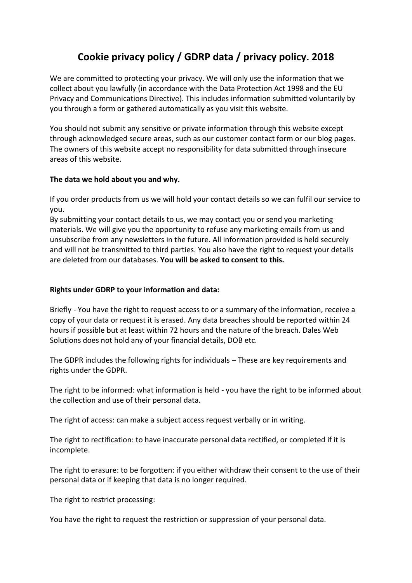# **Cookie privacy policy / GDRP data / privacy policy. 2018**

We are committed to protecting your privacy. We will only use the information that we collect about you lawfully (in accordance with the Data Protection Act 1998 and the EU Privacy and Communications Directive). This includes information submitted voluntarily by you through a form or gathered automatically as you visit this website.

You should not submit any sensitive or private information through this website except through acknowledged secure areas, such as our customer contact form or our blog pages. The owners of this website accept no responsibility for data submitted through insecure areas of this website.

# **The data we hold about you and why.**

If you order products from us we will hold your contact details so we can fulfil our service to you.

By submitting your contact details to us, we may contact you or send you marketing materials. We will give you the opportunity to refuse any marketing emails from us and unsubscribe from any newsletters in the future. All information provided is held securely and will not be transmitted to third parties. You also have the right to request your details are deleted from our databases. **You will be asked to consent to this.**

## **Rights under GDRP to your information and data:**

Briefly - You have the right to request access to or a summary of the information, receive a copy of your data or request it is erased. Any data breaches should be reported within 24 hours if possible but at least within 72 hours and the nature of the breach. Dales Web Solutions does not hold any of your financial details, DOB etc.

The GDPR includes the following rights for individuals – These are key requirements and rights under the GDPR.

The right to be informed: what information is held - you have the right to be informed about the collection and use of their personal data.

The right of access: can make a subject access request verbally or in writing.

The right to rectification: to have inaccurate personal data rectified, or completed if it is incomplete.

The right to erasure: to be forgotten: if you either withdraw their consent to the use of their personal data or if keeping that data is no longer required.

The right to restrict processing:

You have the right to request the restriction or suppression of your personal data.